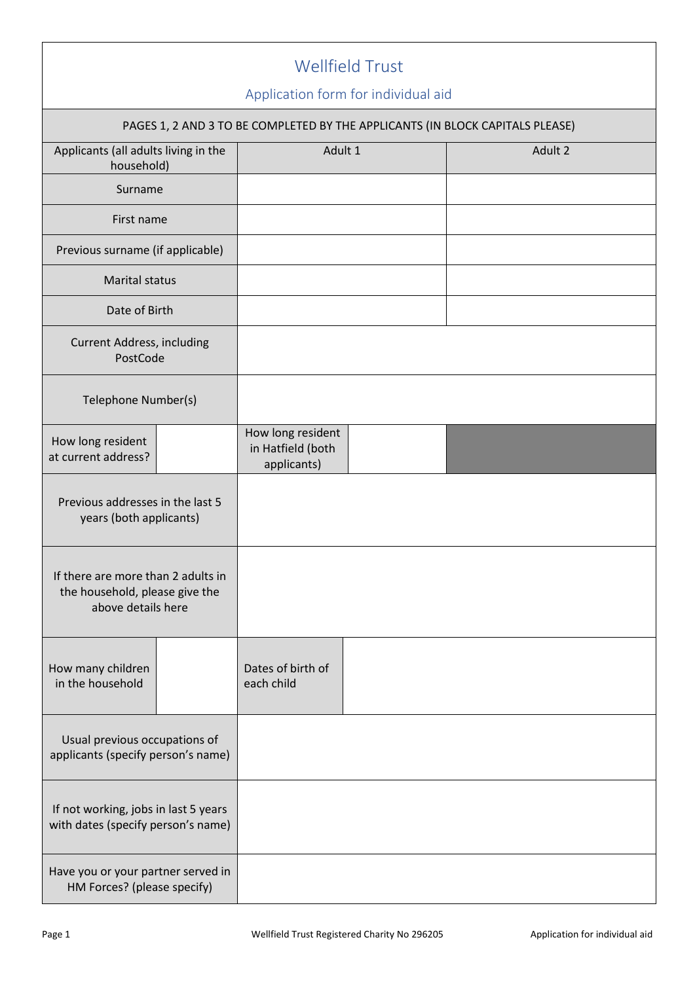|                                                                                            |  |                                                                                          | <b>Wellfield Trust</b> |  |         |
|--------------------------------------------------------------------------------------------|--|------------------------------------------------------------------------------------------|------------------------|--|---------|
|                                                                                            |  | Application form for individual aid                                                      |                        |  |         |
| Applicants (all adults living in the                                                       |  | PAGES 1, 2 AND 3 TO BE COMPLETED BY THE APPLICANTS (IN BLOCK CAPITALS PLEASE)<br>Adult 1 |                        |  | Adult 2 |
| household)                                                                                 |  |                                                                                          |                        |  |         |
| Surname                                                                                    |  |                                                                                          |                        |  |         |
| First name                                                                                 |  |                                                                                          |                        |  |         |
| Previous surname (if applicable)                                                           |  |                                                                                          |                        |  |         |
| <b>Marital status</b>                                                                      |  |                                                                                          |                        |  |         |
| Date of Birth                                                                              |  |                                                                                          |                        |  |         |
| <b>Current Address, including</b><br>PostCode                                              |  |                                                                                          |                        |  |         |
| Telephone Number(s)                                                                        |  |                                                                                          |                        |  |         |
| How long resident<br>at current address?                                                   |  | How long resident<br>in Hatfield (both<br>applicants)                                    |                        |  |         |
| Previous addresses in the last 5<br>years (both applicants)                                |  |                                                                                          |                        |  |         |
| If there are more than 2 adults in<br>the household, please give the<br>above details here |  |                                                                                          |                        |  |         |
| How many children<br>in the household                                                      |  | Dates of birth of<br>each child                                                          |                        |  |         |
| Usual previous occupations of<br>applicants (specify person's name)                        |  |                                                                                          |                        |  |         |
| If not working, jobs in last 5 years<br>with dates (specify person's name)                 |  |                                                                                          |                        |  |         |
| Have you or your partner served in<br>HM Forces? (please specify)                          |  |                                                                                          |                        |  |         |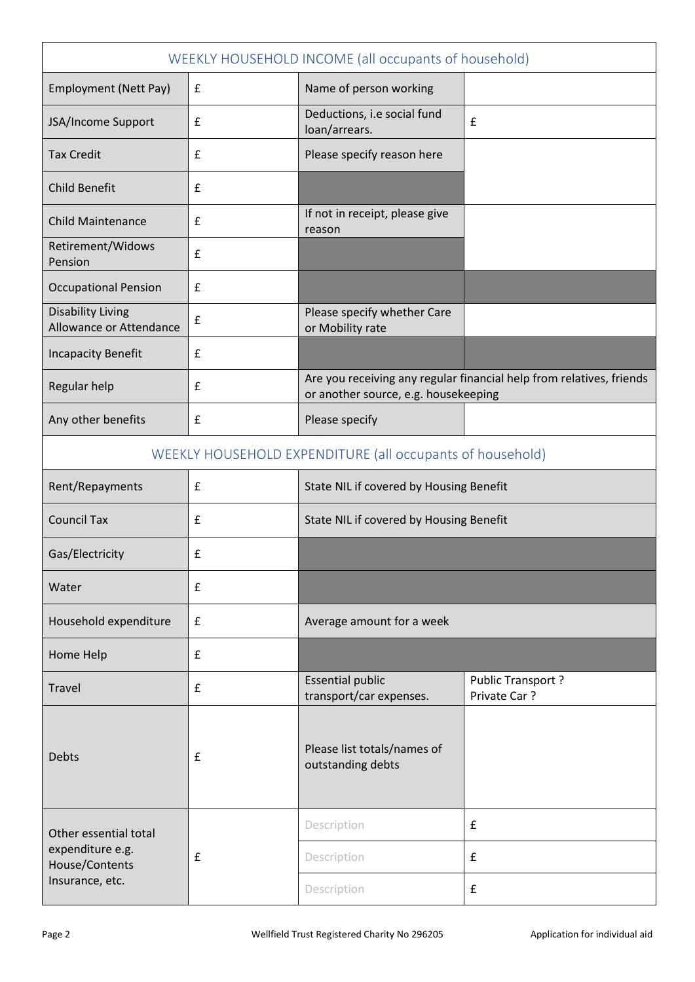| WEEKLY HOUSEHOLD INCOME (all occupants of household) |                    |                                                                                                              |                                   |  |
|------------------------------------------------------|--------------------|--------------------------------------------------------------------------------------------------------------|-----------------------------------|--|
| Employment (Nett Pay)                                | £                  | Name of person working                                                                                       |                                   |  |
| JSA/Income Support                                   | £                  | Deductions, i.e social fund<br>loan/arrears.                                                                 | £                                 |  |
| <b>Tax Credit</b>                                    | £                  | Please specify reason here                                                                                   |                                   |  |
| <b>Child Benefit</b>                                 | £                  |                                                                                                              |                                   |  |
| <b>Child Maintenance</b>                             | £                  | If not in receipt, please give<br>reason                                                                     |                                   |  |
| Retirement/Widows<br>Pension                         | £                  |                                                                                                              |                                   |  |
| <b>Occupational Pension</b>                          | £                  |                                                                                                              |                                   |  |
| <b>Disability Living</b><br>Allowance or Attendance  | £                  | Please specify whether Care<br>or Mobility rate                                                              |                                   |  |
| <b>Incapacity Benefit</b>                            | $\pmb{\mathsf{f}}$ |                                                                                                              |                                   |  |
| Regular help                                         | £                  | Are you receiving any regular financial help from relatives, friends<br>or another source, e.g. housekeeping |                                   |  |
| Any other benefits                                   | $\pmb{\mathsf{f}}$ | Please specify                                                                                               |                                   |  |
|                                                      |                    | WEEKLY HOUSEHOLD EXPENDITURE (all occupants of household)                                                    |                                   |  |
| Rent/Repayments                                      | £                  | State NIL if covered by Housing Benefit                                                                      |                                   |  |
| <b>Council Tax</b>                                   | £                  | State NIL if covered by Housing Benefit                                                                      |                                   |  |
| Gas/Electricity                                      | £                  |                                                                                                              |                                   |  |
| Water                                                | £                  |                                                                                                              |                                   |  |
| Household expenditure                                | £                  | Average amount for a week                                                                                    |                                   |  |
| Home Help                                            | £                  |                                                                                                              |                                   |  |
| Travel                                               | £                  | <b>Essential public</b><br>transport/car expenses.                                                           | Public Transport?<br>Private Car? |  |
| <b>Debts</b>                                         | £                  | Please list totals/names of<br>outstanding debts                                                             |                                   |  |
| Other essential total                                |                    | Description                                                                                                  | £                                 |  |
| expenditure e.g.<br>House/Contents                   | $\pmb{\mathsf{f}}$ | Description                                                                                                  | £                                 |  |
| Insurance, etc.                                      |                    | Description                                                                                                  | £                                 |  |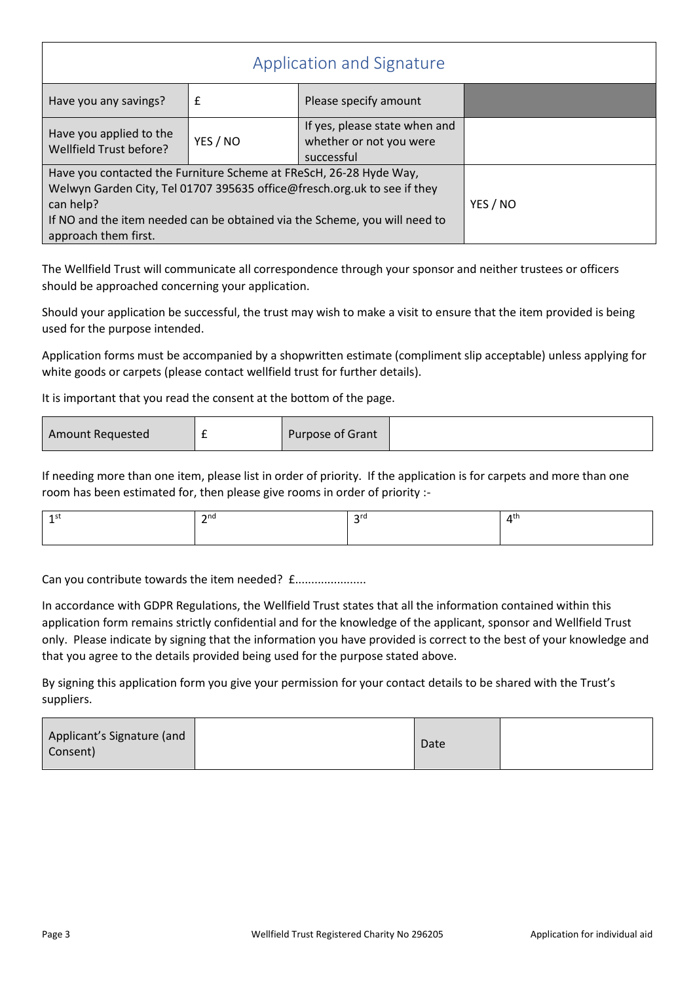| Application and Signature                                                                                                                                                                                                                                         |                                                                        |  |  |  |
|-------------------------------------------------------------------------------------------------------------------------------------------------------------------------------------------------------------------------------------------------------------------|------------------------------------------------------------------------|--|--|--|
| £                                                                                                                                                                                                                                                                 | Please specify amount                                                  |  |  |  |
| YES / NO                                                                                                                                                                                                                                                          | If yes, please state when and<br>whether or not you were<br>successful |  |  |  |
| Have you contacted the Furniture Scheme at FReScH, 26-28 Hyde Way,<br>Welwyn Garden City, Tel 01707 395635 office@fresch.org.uk to see if they<br>can help?<br>If NO and the item needed can be obtained via the Scheme, you will need to<br>approach them first. |                                                                        |  |  |  |
|                                                                                                                                                                                                                                                                   |                                                                        |  |  |  |

The Wellfield Trust will communicate all correspondence through your sponsor and neither trustees or officers should be approached concerning your application.

Should your application be successful, the trust may wish to make a visit to ensure that the item provided is being used for the purpose intended.

Application forms must be accompanied by a shopwritten estimate (compliment slip acceptable) unless applying for white goods or carpets (please contact wellfield trust for further details).

It is important that you read the consent at the bottom of the page.

If needing more than one item, please list in order of priority. If the application is for carpets and more than one room has been estimated for, then please give rooms in order of priority :-

| $\mathbf{\sim}$ nd | $\cap$ ro | лtг |
|--------------------|-----------|-----|
|                    |           |     |

Can you contribute towards the item needed? £......................

In accordance with GDPR Regulations, the Wellfield Trust states that all the information contained within this application form remains strictly confidential and for the knowledge of the applicant, sponsor and Wellfield Trust only. Please indicate by signing that the information you have provided is correct to the best of your knowledge and that you agree to the details provided being used for the purpose stated above.

By signing this application form you give your permission for your contact details to be shared with the Trust's suppliers.

| Applicant's Signature (and<br>Consent) | Date |  |
|----------------------------------------|------|--|
|----------------------------------------|------|--|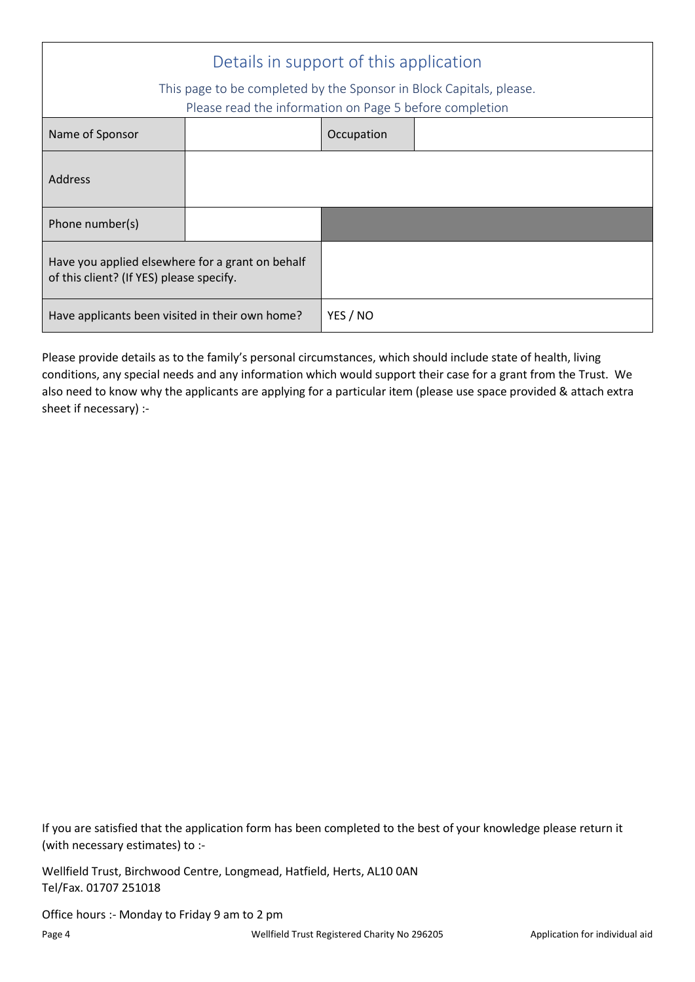| Details in support of this application                                                                                         |  |            |  |
|--------------------------------------------------------------------------------------------------------------------------------|--|------------|--|
| This page to be completed by the Sponsor in Block Capitals, please.<br>Please read the information on Page 5 before completion |  |            |  |
| Name of Sponsor                                                                                                                |  | Occupation |  |
| <b>Address</b>                                                                                                                 |  |            |  |
| Phone number(s)                                                                                                                |  |            |  |
| Have you applied elsewhere for a grant on behalf<br>of this client? (If YES) please specify.                                   |  |            |  |
| Have applicants been visited in their own home?                                                                                |  | YES / NO   |  |

Please provide details as to the family's personal circumstances, which should include state of health, living conditions, any special needs and any information which would support their case for a grant from the Trust. We also need to know why the applicants are applying for a particular item (please use space provided & attach extra sheet if necessary) :-

If you are satisfied that the application form has been completed to the best of your knowledge please return it (with necessary estimates) to :-

Wellfield Trust, Birchwood Centre, Longmead, Hatfield, Herts, AL10 0AN Tel/Fax. 01707 251018

Office hours :- Monday to Friday 9 am to 2 pm